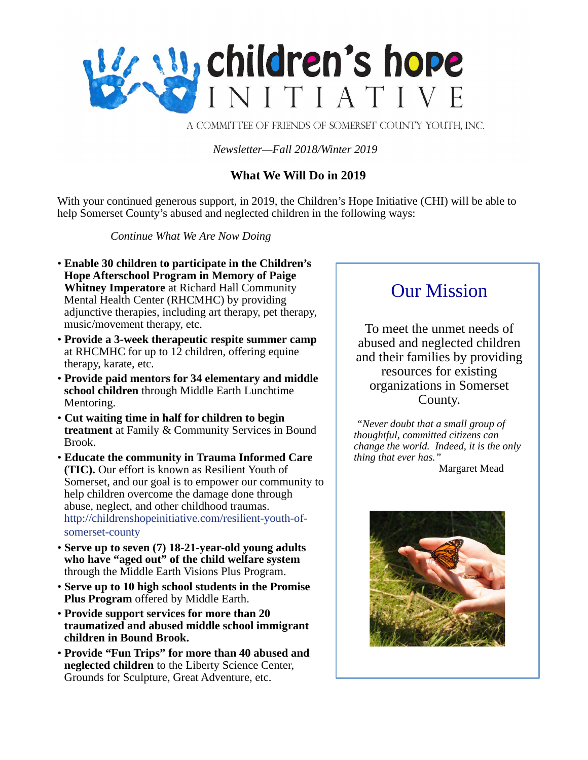

A COMMITTEE OF FRIENDS OF SOMERSET COUNTY YOUTH, INC.

#### *Newsletter—Fall 2018/Winter 2019*

# **What We Will Do in 2019**

With your continued generous support, in 2019, the Children's Hope Initiative (CHI) will be able to help Somerset County's abused and neglected children in the following ways:

*Continue What We Are Now Doing*

- **Enable 30 children to participate in the Children's Hope Afterschool Program in Memory of Paige Whitney Imperatore** at Richard Hall Community Mental Health Center (RHCMHC) by providing adjunctive therapies, including art therapy, pet therapy, music/movement therapy, etc.
- **Provide a 3-week therapeutic respite summer camp** at RHCMHC for up to 12 children, offering equine therapy, karate, etc.
- **Provide paid mentors for 34 elementary and middle school children** through Middle Earth Lunchtime Mentoring.
- **Cut waiting time in half for children to begin treatment** at Family & Community Services in Bound Brook.
- **Educate the community in Trauma Informed Care (TIC).** Our effort is known as Resilient Youth of Somerset, and our goal is to empower our community to help children overcome the damage done through abuse, neglect, and other childhood traumas. http://childrenshopeinitiative.com/resilient-youth-ofsomerset-county
- **Serve up to seven (7) 18-21-year-old young adults who have "aged out" of the child welfare system**  through the Middle Earth Visions Plus Program.
- **Serve up to 10 high school students in the Promise Plus Program** offered by Middle Earth.
- **Provide support services for more than 20 traumatized and abused middle school immigrant children in Bound Brook.**
- **Provide "Fun Trips" for more than 40 abused and neglected children** to the Liberty Science Center, Grounds for Sculpture, Great Adventure, etc.

# Our Mission

To meet the unmet needs of abused and neglected children and their families by providing resources for existing organizations in Somerset County.

*"Never doubt that a small group of thoughtful, committed citizens can change the world. Indeed, it is the only thing that ever has."*

Margaret Mead

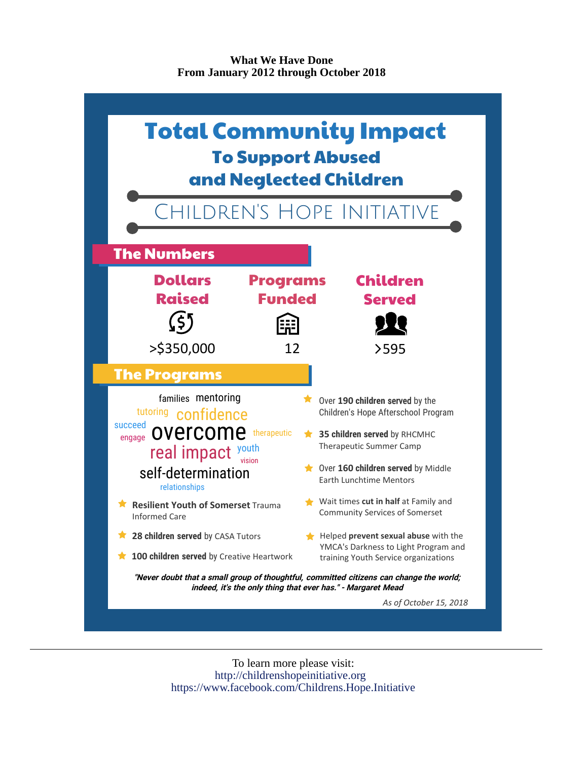### **What We Have Done From January 2012 through October 2018**



To learn more please visit: http://childrenshopeinitiative.org https://www.facebook.com/Childrens.Hope.Initiative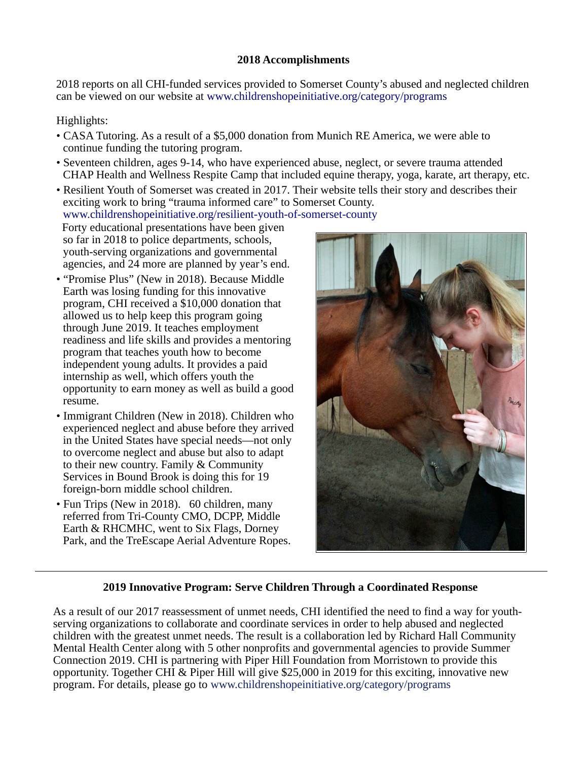### **2018 Accomplishments**

2018 reports on all CHI-funded services provided to Somerset County's abused and neglected children can be viewed on our website at [www.childrenshopeinitiative.org/category/programs](http://www.childrenshopeinitiative.org/category/programs)

# Highlights:

- CASA Tutoring. As a result of a \$5,000 donation from Munich RE America, we were able to continue funding the tutoring program.
- Seventeen children, ages 9-14, who have experienced abuse, neglect, or severe trauma attended CHAP Health and Wellness Respite Camp that included equine therapy, yoga, karate, art therapy, etc.
- Resilient Youth of Somerset was created in 2017. Their website tells their story and describes their exciting work to bring "trauma informed care" to Somerset County. [www.childrenshopeinitiative.org/resilient-youth-of-somerset-county](http://www.childrenshopeinitiative.org/resilient-youth-of-somerset-county)

 Forty educational presentations have been given so far in 2018 to police departments, schools, youth-serving organizations and governmental agencies, and 24 more are planned by year's end.

- "Promise Plus" (New in 2018). Because Middle Earth was losing funding for this innovative program, CHI received a \$10,000 donation that allowed us to help keep this program going through June 2019. It teaches employment readiness and life skills and provides a mentoring program that teaches youth how to become independent young adults. It provides a paid internship as well, which offers youth the opportunity to earn money as well as build a good resume.
- Immigrant Children (New in 2018). Children who experienced neglect and abuse before they arrived in the United States have special needs—not only to overcome neglect and abuse but also to adapt to their new country. Family & Community Services in Bound Brook is doing this for 19 foreign-born middle school children.
- Fun Trips (New in 2018). 60 children, many referred from Tri-County CMO, DCPP, Middle Earth & RHCMHC, went to Six Flags, Dorney Park, and the TreEscape Aerial Adventure Ropes.



## **2019 Innovative Program: Serve Children Through a Coordinated Response**

As a result of our 2017 reassessment of unmet needs, CHI identified the need to find a way for youthserving organizations to collaborate and coordinate services in order to help abused and neglected children with the greatest unmet needs. The result is a collaboration led by Richard Hall Community Mental Health Center along with 5 other nonprofits and governmental agencies to provide Summer Connection 2019. CHI is partnering with Piper Hill Foundation from Morristown to provide this opportunity. Together CHI & Piper Hill will give \$25,000 in 2019 for this exciting, innovative new program. For details, please go to www.childrenshopeinitiative.org/category/programs